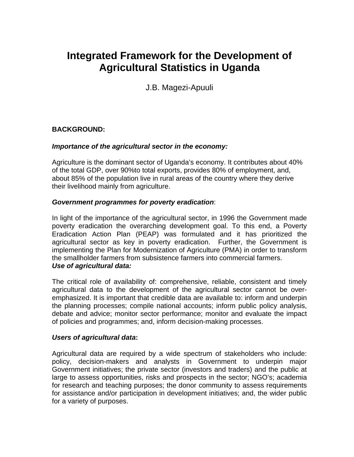# **Integrated Framework for the Development of Agricultural Statistics in Uganda**

J.B. Magezi-Apuuli

# **BACKGROUND:**

#### *Importance of the agricultural sector in the economy:*

Agriculture is the dominant sector of Uganda's economy. It contributes about 40% of the total GDP, over 90%to total exports, provides 80% of employment, and, about 85% of the population live in rural areas of the country where they derive their livelihood mainly from agriculture.

#### *Government programmes for poverty eradication*:

In light of the importance of the agricultural sector, in 1996 the Government made poverty eradication the overarching development goal. To this end, a Poverty Eradication Action Plan (PEAP) was formulated and it has prioritized the agricultural sector as key in poverty eradication. Further, the Government is implementing the Plan for Modernization of Agriculture (PMA) in order to transform the smallholder farmers from subsistence farmers into commercial farmers. *Use of agricultural data:* 

The critical role of availability of: comprehensive, reliable, consistent and timely agricultural data to the development of the agricultural sector cannot be overemphasized. It is important that credible data are available to: inform and underpin the planning processes; compile national accounts; inform public policy analysis, debate and advice; monitor sector performance; monitor and evaluate the impact of policies and programmes; and, inform decision-making processes.

#### *Users of agricultural data***:**

Agricultural data are required by a wide spectrum of stakeholders who include: policy, decision-makers and analysts in Government to underpin major Government initiatives; the private sector (investors and traders) and the public at large to assess opportunities, risks and prospects in the sector; NGO's; academia for research and teaching purposes; the donor community to assess requirements for assistance and/or participation in development initiatives; and, the wider public for a variety of purposes.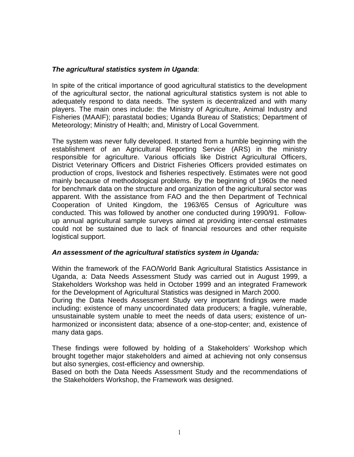#### *The agricultural statistics system in Uganda*:

In spite of the critical importance of good agricultural statistics to the development of the agricultural sector, the national agricultural statistics system is not able to adequately respond to data needs. The system is decentralized and with many players. The main ones include: the Ministry of Agriculture, Animal Industry and Fisheries (MAAIF); parastatal bodies; Uganda Bureau of Statistics; Department of Meteorology; Ministry of Health; and, Ministry of Local Government.

The system was never fully developed. It started from a humble beginning with the establishment of an Agricultural Reporting Service (ARS) in the ministry responsible for agriculture. Various officials like District Agricultural Officers, District Veterinary Officers and District Fisheries Officers provided estimates on production of crops, livestock and fisheries respectively. Estimates were not good mainly because of methodological problems. By the beginning of 1960s the need for benchmark data on the structure and organization of the agricultural sector was apparent. With the assistance from FAO and the then Department of Technical Cooperation of United Kingdom, the 1963/65 Census of Agriculture was conducted. This was followed by another one conducted during 1990/91. Followup annual agricultural sample surveys aimed at providing inter-censal estimates could not be sustained due to lack of financial resources and other requisite logistical support.

#### *An assessment of the agricultural statistics system in Uganda:*

Within the framework of the FAO/World Bank Agricultural Statistics Assistance in Uganda, a: Data Needs Assessment Study was carried out in August 1999, a Stakeholders Workshop was held in October 1999 and an integrated Framework for the Development of Agricultural Statistics was designed in March 2000.

During the Data Needs Assessment Study very important findings were made including: existence of many uncoordinated data producers; a fragile, vulnerable, unsustainable system unable to meet the needs of data users; existence of unharmonized or inconsistent data; absence of a one-stop-center; and, existence of many data gaps.

These findings were followed by holding of a Stakeholders' Workshop which brought together major stakeholders and aimed at achieving not only consensus but also synergies, cost-efficiency and ownership.

Based on both the Data Needs Assessment Study and the recommendations of the Stakeholders Workshop, the Framework was designed.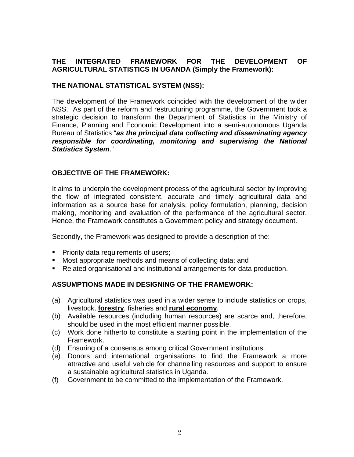# **THE INTEGRATED FRAMEWORK FOR THE DEVELOPMENT OF AGRICULTURAL STATISTICS IN UGANDA (Simply the Framework):**

## **THE NATIONAL STATISTICAL SYSTEM (NSS):**

The development of the Framework coincided with the development of the wider NSS. As part of the reform and restructuring programme, the Government took a strategic decision to transform the Department of Statistics in the Ministry of Finance, Planning and Economic Development into a semi-autonomous Uganda Bureau of Statistics "*as the principal data collecting and disseminating agency responsible for coordinating, monitoring and supervising the National Statistics System*."

#### **OBJECTIVE OF THE FRAMEWORK:**

It aims to underpin the development process of the agricultural sector by improving the flow of integrated consistent, accurate and timely agricultural data and information as a source base for analysis, policy formulation, planning, decision making, monitoring and evaluation of the performance of the agricultural sector. Hence, the Framework constitutes a Government policy and strategy document.

Secondly, the Framework was designed to provide a description of the:

- **Priority data requirements of users;**
- Most appropriate methods and means of collecting data; and
- Related organisational and institutional arrangements for data production.

# **ASSUMPTIONS MADE IN DESIGNING OF THE FRAMEWORK:**

- (a) Agricultural statistics was used in a wider sense to include statistics on crops, livestock, **forestry**, fisheries and **rural economy**.
- (b) Available resources (including human resources) are scarce and, therefore, should be used in the most efficient manner possible.
- (c) Work done hitherto to constitute a starting point in the implementation of the Framework.
- (d) Ensuring of a consensus among critical Government institutions.
- (e) Donors and international organisations to find the Framework a more attractive and useful vehicle for channelling resources and support to ensure a sustainable agricultural statistics in Uganda.
- (f) Government to be committed to the implementation of the Framework.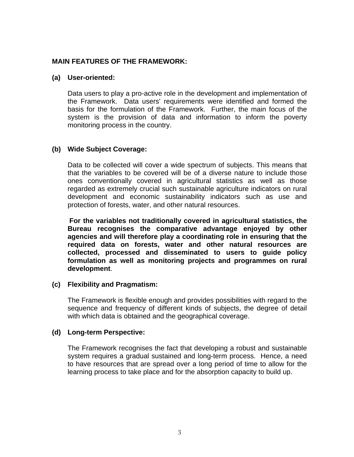#### **MAIN FEATURES OF THE FRAMEWORK:**

#### **(a) User-oriented:**

Data users to play a pro-active role in the development and implementation of the Framework. Data users' requirements were identified and formed the basis for the formulation of the Framework. Further, the main focus of the system is the provision of data and information to inform the poverty monitoring process in the country.

#### **(b) Wide Subject Coverage:**

 Data to be collected will cover a wide spectrum of subjects. This means that that the variables to be covered will be of a diverse nature to include those ones conventionally covered in agricultural statistics as well as those regarded as extremely crucial such sustainable agriculture indicators on rural development and economic sustainability indicators such as use and protection of forests, water, and other natural resources.

 **For the variables not traditionally covered in agricultural statistics, the Bureau recognises the comparative advantage enjoyed by other agencies and will therefore play a coordinating role in ensuring that the required data on forests, water and other natural resources are collected, processed and disseminated to users to guide policy formulation as well as monitoring projects and programmes on rural development**.

#### **(c) Flexibility and Pragmatism:**

The Framework is flexible enough and provides possibilities with regard to the sequence and frequency of different kinds of subjects, the degree of detail with which data is obtained and the geographical coverage.

#### **(d) Long-term Perspective:**

 The Framework recognises the fact that developing a robust and sustainable system requires a gradual sustained and long-term process. Hence, a need to have resources that are spread over a long period of time to allow for the learning process to take place and for the absorption capacity to build up.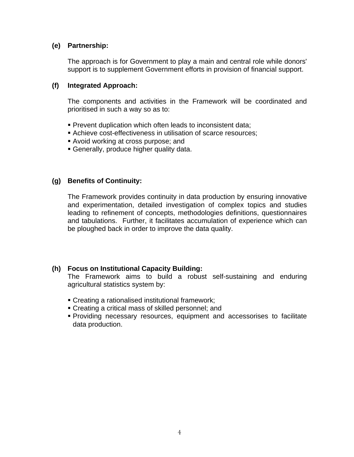#### **(e) Partnership:**

The approach is for Government to play a main and central role while donors' support is to supplement Government efforts in provision of financial support.

#### **(f) Integrated Approach:**

The components and activities in the Framework will be coordinated and prioritised in such a way so as to:

- **Prevent duplication which often leads to inconsistent data;**
- Achieve cost-effectiveness in utilisation of scarce resources;
- Avoid working at cross purpose; and
- Generally, produce higher quality data.

# **(g) Benefits of Continuity:**

The Framework provides continuity in data production by ensuring innovative and experimentation, detailed investigation of complex topics and studies leading to refinement of concepts, methodologies definitions, questionnaires and tabulations. Further, it facilitates accumulation of experience which can be ploughed back in order to improve the data quality.

# **(h) Focus on Institutional Capacity Building:**

The Framework aims to build a robust self-sustaining and enduring agricultural statistics system by:

- Creating a rationalised institutional framework;
- Creating a critical mass of skilled personnel; and
- Providing necessary resources, equipment and accessorises to facilitate data production.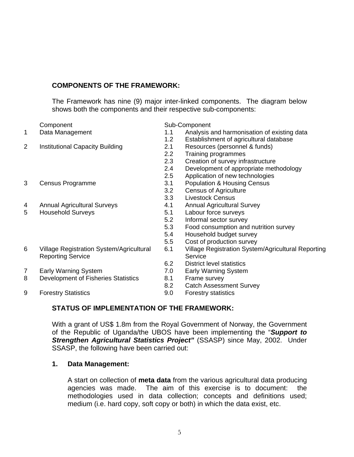# **COMPONENTS OF THE FRAMEWORK:**

The Framework has nine (9) major inter-linked components. The diagram below shows both the components and their respective sub-components:

|   | Component                                                                   |     | Sub-Component                                                 |  |
|---|-----------------------------------------------------------------------------|-----|---------------------------------------------------------------|--|
| 1 | Data Management                                                             | 1.1 | Analysis and harmonisation of existing data                   |  |
|   |                                                                             | 1.2 | Establishment of agricultural database                        |  |
| 2 | <b>Institutional Capacity Building</b>                                      | 2.1 | Resources (personnel & funds)                                 |  |
|   |                                                                             | 2.2 | Training programmes                                           |  |
|   |                                                                             | 2.3 | Creation of survey infrastructure                             |  |
|   |                                                                             | 2.4 | Development of appropriate methodology                        |  |
|   |                                                                             | 2.5 | Application of new technologies                               |  |
| 3 | Census Programme                                                            | 3.1 | <b>Population &amp; Housing Census</b>                        |  |
|   |                                                                             | 3.2 | <b>Census of Agriculture</b>                                  |  |
|   |                                                                             | 3.3 | <b>Livestock Census</b>                                       |  |
| 4 | <b>Annual Agricultural Surveys</b>                                          | 4.1 | <b>Annual Agricultural Survey</b>                             |  |
| 5 | <b>Household Surveys</b>                                                    | 5.1 | Labour force surveys                                          |  |
|   |                                                                             | 5.2 | Informal sector survey                                        |  |
|   |                                                                             | 5.3 | Food consumption and nutrition survey                         |  |
|   |                                                                             | 5.4 | Household budget survey                                       |  |
|   |                                                                             | 5.5 | Cost of production survey                                     |  |
| 6 | <b>Village Registration System/Agricultural</b><br><b>Reporting Service</b> | 6.1 | Village Registration System/Agricultural Reporting<br>Service |  |
|   |                                                                             | 6.2 | <b>District level statistics</b>                              |  |
| 7 | <b>Early Warning System</b>                                                 | 7.0 | <b>Early Warning System</b>                                   |  |
| 8 | Development of Fisheries Statistics                                         | 8.1 | Frame survey                                                  |  |
|   |                                                                             | 8.2 | <b>Catch Assessment Survey</b>                                |  |
| 9 | <b>Forestry Statistics</b>                                                  | 9.0 | <b>Forestry statistics</b>                                    |  |

#### **STATUS OF IMPLEMENTATION OF THE FRAMEWORK:**

With a grant of US\$ 1.8m from the Royal Government of Norway, the Government of the Republic of Uganda/the UBOS have been implementing the "*Support to Strengthen Agricultural Statistics Project"* (SSASP) since May, 2002. Under SSASP, the following have been carried out:

#### **1. Data Management:**

 A start on collection of **meta data** from the various agricultural data producing agencies was made. The aim of this exercise is to document: the methodologies used in data collection; concepts and definitions used; medium (i.e. hard copy, soft copy or both) in which the data exist, etc.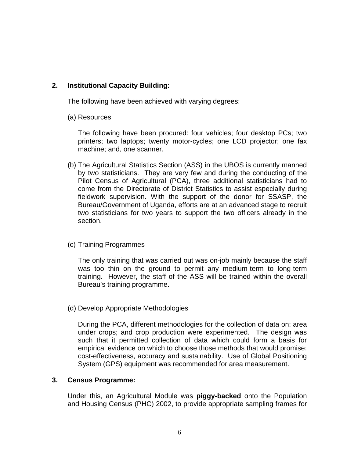# **2. Institutional Capacity Building:**

The following have been achieved with varying degrees:

(a) Resources

The following have been procured: four vehicles; four desktop PCs; two printers; two laptops; twenty motor-cycles; one LCD projector; one fax machine; and, one scanner.

(b) The Agricultural Statistics Section (ASS) in the UBOS is currently manned by two statisticians. They are very few and during the conducting of the Pilot Census of Agricultural (PCA), three additional statisticians had to come from the Directorate of District Statistics to assist especially during fieldwork supervision. With the support of the donor for SSASP, the Bureau/Government of Uganda, efforts are at an advanced stage to recruit two statisticians for two years to support the two officers already in the section.

#### (c) Training Programmes

The only training that was carried out was on-job mainly because the staff was too thin on the ground to permit any medium-term to long-term training. However, the staff of the ASS will be trained within the overall Bureau's training programme.

(d) Develop Appropriate Methodologies

During the PCA, different methodologies for the collection of data on: area under crops; and crop production were experimented. The design was such that it permitted collection of data which could form a basis for empirical evidence on which to choose those methods that would promise: cost-effectiveness, accuracy and sustainability. Use of Global Positioning System (GPS) equipment was recommended for area measurement.

#### **3. Census Programme:**

Under this, an Agricultural Module was **piggy-backed** onto the Population and Housing Census (PHC) 2002, to provide appropriate sampling frames for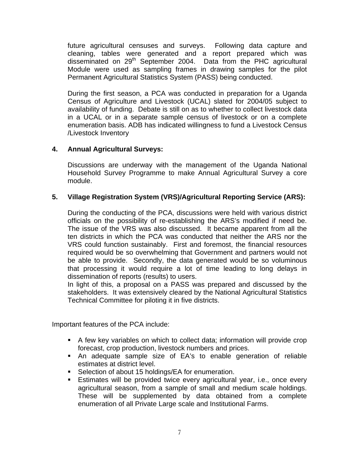future agricultural censuses and surveys. Following data capture and cleaning, tables were generated and a report prepared which was disseminated on 29<sup>th</sup> September 2004. Data from the PHC agricultural Module were used as sampling frames in drawing samples for the pilot Permanent Agricultural Statistics System (PASS) being conducted.

During the first season, a PCA was conducted in preparation for a Uganda Census of Agriculture and Livestock (UCAL) slated for 2004/05 subject to availability of funding. Debate is still on as to whether to collect livestock data in a UCAL or in a separate sample census of livestock or on a complete enumeration basis. ADB has indicated willingness to fund a Livestock Census /Livestock Inventory

## **4. Annual Agricultural Surveys:**

Discussions are underway with the management of the Uganda National Household Survey Programme to make Annual Agricultural Survey a core module.

## **5. Village Registration System (VRS)/Agricultural Reporting Service (ARS):**

During the conducting of the PCA, discussions were held with various district officials on the possibility of re-establishing the ARS's modified if need be. The issue of the VRS was also discussed. It became apparent from all the ten districts in which the PCA was conducted that neither the ARS nor the VRS could function sustainably. First and foremost, the financial resources required would be so overwhelming that Government and partners would not be able to provide. Secondly, the data generated would be so voluminous that processing it would require a lot of time leading to long delays in dissemination of reports (results) to users.

In light of this, a proposal on a PASS was prepared and discussed by the stakeholders. It was extensively cleared by the National Agricultural Statistics Technical Committee for piloting it in five districts.

Important features of the PCA include:

- A few key variables on which to collect data; information will provide crop forecast, crop production, livestock numbers and prices.
- An adequate sample size of EA's to enable generation of reliable estimates at district level.
- Selection of about 15 holdings/EA for enumeration.
- Estimates will be provided twice every agricultural year, i.e., once every agricultural season, from a sample of small and medium scale holdings. These will be supplemented by data obtained from a complete enumeration of all Private Large scale and Institutional Farms.